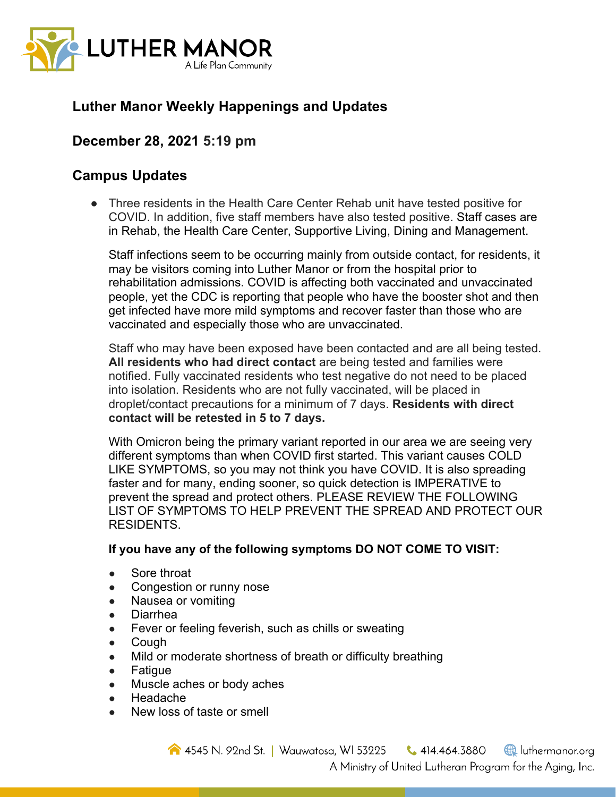

# **Luther Manor Weekly Happenings and Updates**

## **December 28, 2021 5:19 pm**

### **Campus Updates**

● Three residents in the Health Care Center Rehab unit have tested positive for COVID. In addition, five staff members have also tested positive. Staff cases are in Rehab, the Health Care Center, Supportive Living, Dining and Management.

Staff infections seem to be occurring mainly from outside contact, for residents, it may be visitors coming into Luther Manor or from the hospital prior to rehabilitation admissions. COVID is affecting both vaccinated and unvaccinated people, yet the CDC is reporting that people who have the booster shot and then get infected have more mild symptoms and recover faster than those who are vaccinated and especially those who are unvaccinated.

Staff who may have been exposed have been contacted and are all being tested. **All residents who had direct contact** are being tested and families were notified. Fully vaccinated residents who test negative do not need to be placed into isolation. Residents who are not fully vaccinated, will be placed in droplet/contact precautions for a minimum of 7 days. **Residents with direct contact will be retested in 5 to 7 days.** 

With Omicron being the primary variant reported in our area we are seeing very different symptoms than when COVID first started. This variant causes COLD LIKE SYMPTOMS, so you may not think you have COVID. It is also spreading faster and for many, ending sooner, so quick detection is IMPERATIVE to prevent the spread and protect others. PLEASE REVIEW THE FOLLOWING LIST OF SYMPTOMS TO HELP PREVENT THE SPREAD AND PROTECT OUR RESIDENTS.

#### **If you have any of the following symptoms DO NOT COME TO VISIT:**

- Sore throat
- Congestion or runny nose
- Nausea or vomiting
- Diarrhea
- Fever or feeling feverish, such as chills or sweating
- Cough
- Mild or moderate shortness of breath or difficulty breathing
- Fatigue
- Muscle aches or body aches
- Headache
- New loss of taste or smell

4545 N. 92nd St. | Wauwatosa, WI 53225  $\bigcup$  414.464.3880 uthermanor.org A Ministry of United Lutheran Program for the Aging, Inc.